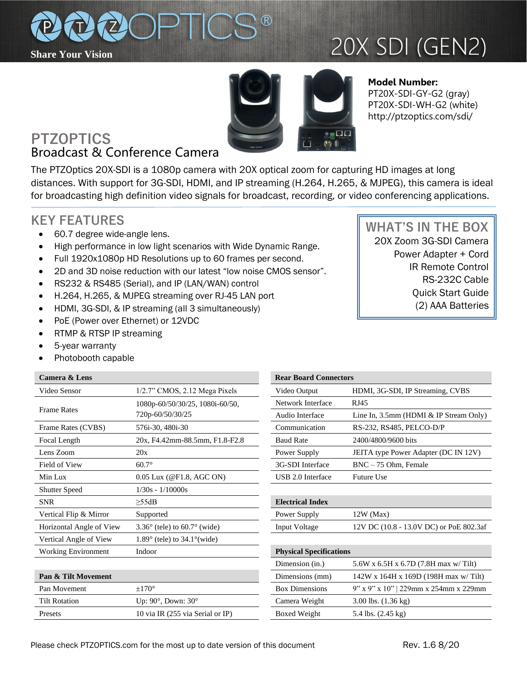

# 20X SDI (GEN2)



**Model Number:**  PT20X-SDI-GY-G2 (gray) PT20X-SDI-WH-G2 (white) http://ptzoptics.com/sdi/

## **PTZOPTICS** Broadcast & Conference Camera

The PTZOptics 20X-SDI is a 1080p camera with 20X optical zoom for capturing HD images at long distances. With support for 3G-SDI, HDMI, and IP streaming (H.264, H.265, & MJPEG), this camera is ideal for broadcasting high definition video signals for broadcast, recording, or video conferencing applications.

## **KEY FEATURES**

- 60.7 degree wide-angle lens.
- High performance in low light scenarios with Wide Dynamic Range.
- Full 1920x1080p HD Resolutions up to 60 frames per second.
- 2D and 3D noise reduction with our latest "low noise CMOS sensor".
- RS232 & RS485 (Serial), and IP (LAN/WAN) control
- H.264, H.265, & MJPEG streaming over RJ-45 LAN port
- HDMI, 3G-SDI, & IP streaming (all 3 simultaneously)
- PoE (Power over Ethernet) or 12VDC
- RTMP & RTSP IP streaming
- 5-year warranty
- Photobooth capable

### **Camera & Lens**

| Video Sensor               | $1/2.7$ " CMOS, $2.12$ Mega Pixels                  | Video Output                   | HDMI, 3G-SDI, IP Streaming, CVBS               |
|----------------------------|-----------------------------------------------------|--------------------------------|------------------------------------------------|
| <b>Frame Rates</b>         | 1080p-60/50/30/25, 1080i-60/50,<br>720p-60/50/30/25 | Network Interface              | RJ45                                           |
|                            |                                                     | Audio Interface                | Line In, $3.5$ mm (HDMI & IP Stream Only)      |
| Frame Rates (CVBS)         | 576i-30, 480i-30                                    | Communication                  | RS-232, RS485, PELCO-D/P                       |
| Focal Length               | 20x, F4.42mm-88.5mm, F1.8-F2.8                      | <b>Baud Rate</b>               | 2400/4800/9600 bits                            |
| Lens Zoom                  | 20x                                                 | Power Supply                   | JEITA type Power Adapter (DC IN 12V)           |
| Field of View              | $60.7^\circ$                                        | 3G-SDI Interface               | $BNC - 75$ Ohm, Female                         |
| Min Lux                    | 0.05 Lux (@F1.8, AGC ON)                            | USB 2.0 Interface              | <b>Future Use</b>                              |
| <b>Shutter Speed</b>       | $1/30s - 1/10000s$                                  |                                |                                                |
| <b>SNR</b>                 | $\geq$ 55dB                                         | <b>Electrical Index</b>        |                                                |
| Vertical Flip & Mirror     | Supported                                           | Power Supply                   | $12W$ (Max)                                    |
| Horizontal Angle of View   | $3.36^{\circ}$ (tele) to 60.7 $^{\circ}$ (wide)     | Input Voltage                  | 12V DC (10.8 - 13.0V DC) or PoE 802.3af        |
| Vertical Angle of View     | $1.89^\circ$ (tele) to $34.1^\circ$ (wide)          |                                |                                                |
| <b>Working Environment</b> | Indoor                                              | <b>Physical Specifications</b> |                                                |
|                            |                                                     | Dimension (in.)                | 5.6W x 6.5H x 6.7D $(7.8H \text{ max w/Tilt})$ |
| Pan & Tilt Movement        |                                                     | Dimensions (mm)                | $142W$ x 164H x 169D (198H max w/Tilt)         |
| Pan Movement               | $\pm 170^\circ$                                     | <b>Box Dimensions</b>          | 9" x 9" x 10"   229mm x 254mm x 229mm          |
| <b>Tilt Rotation</b>       | Up: $90^\circ$ , Down: $30^\circ$                   | Camera Weight                  | 3.00 lbs. $(1.36 \text{ kg})$                  |

Presets 10 via IR (255 via Serial or IP)

| <b>Rear Board Connectors</b>   |                                           |  |  |
|--------------------------------|-------------------------------------------|--|--|
| Video Output                   | HDMI, 3G-SDI, IP Streaming, CVBS          |  |  |
| Network Interface              | <b>RJ45</b>                               |  |  |
| Audio Interface                | Line In, $3.5$ mm (HDMI & IP Stream Only) |  |  |
| Communication                  | RS-232, RS485, PELCO-D/P                  |  |  |
| <b>Baud Rate</b>               | 2400/4800/9600 bits                       |  |  |
| Power Supply                   | JEITA type Power Adapter (DC IN 12V)      |  |  |
| 3G-SDI Interface               | $BNC - 75$ Ohm, Female                    |  |  |
| USB 2.0 Interface              | <b>Future Use</b>                         |  |  |
|                                |                                           |  |  |
| <b>Electrical Index</b>        |                                           |  |  |
| Power Supply                   | $12W$ (Max)                               |  |  |
| Input Voltage                  | 12V DC (10.8 - 13.0V DC) or PoE 802.3af   |  |  |
|                                |                                           |  |  |
| <b>Physical Specifications</b> |                                           |  |  |
| Dimension (in.)                | 5.6W x 6.5H x 6.7D (7.8H max w/ Tilt)     |  |  |
| Dimensions (mm)                | 142W x 164H x 169D (198H max w/ Tilt)     |  |  |
| <b>Box Dimensions</b>          | 9" x 9" x 10"   229mm x 254mm x 229mm     |  |  |
| Camera Weight                  | $3.00$ lbs. $(1.36 \text{ kg})$           |  |  |
| Boxed Weight                   | 5.4 lbs. (2.45 kg)                        |  |  |
|                                |                                           |  |  |

 **WHAT'S IN THE BOX** 20X Zoom 3G-SDI Camera Power Adapter + Cord

IR Remote Control RS-232C Cable Quick Start Guide (2) AAA Batteries